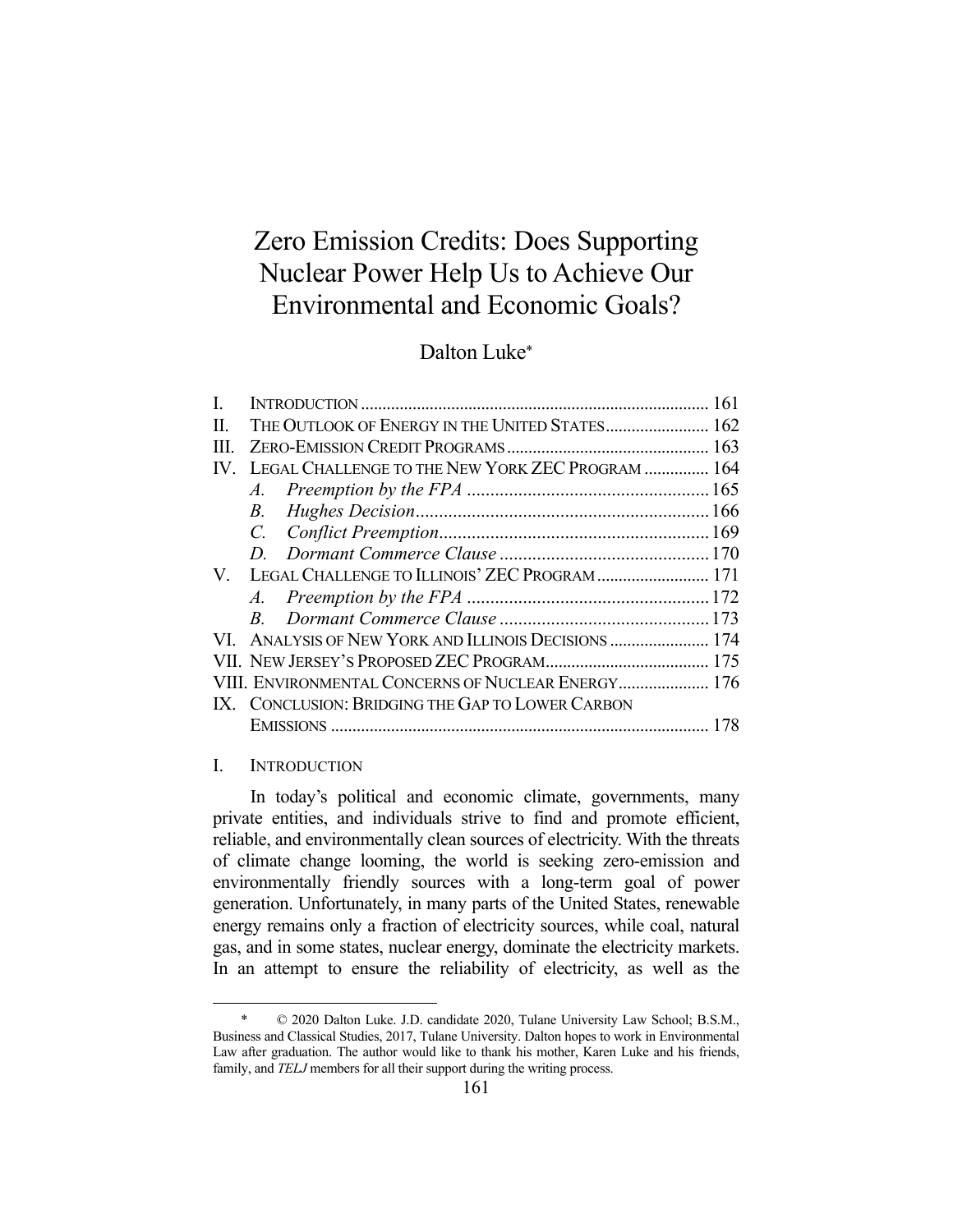# Zero Emission Credits: Does Supporting Nuclear Power Help Us to Achieve Our Environmental and Economic Goals?

# Dalton Luke\*

| L                 |                                                    |                                                  |  |
|-------------------|----------------------------------------------------|--------------------------------------------------|--|
| H.                | THE OUTLOOK OF ENERGY IN THE UNITED STATES 162     |                                                  |  |
| III.              |                                                    |                                                  |  |
| $\mathbf{IV}_{-}$ | LEGAL CHALLENGE TO THE NEW YORK ZEC PROGRAM  164   |                                                  |  |
|                   |                                                    |                                                  |  |
|                   | $B_{\cdot}$                                        |                                                  |  |
|                   |                                                    |                                                  |  |
|                   |                                                    |                                                  |  |
|                   |                                                    | V. LEGAL CHALLENGE TO ILLINOIS' ZEC PROGRAM  171 |  |
|                   |                                                    |                                                  |  |
|                   |                                                    |                                                  |  |
|                   |                                                    |                                                  |  |
|                   |                                                    |                                                  |  |
|                   | VIII. ENVIRONMENTAL CONCERNS OF NUCLEAR ENERGY 176 |                                                  |  |
|                   | IX. CONCLUSION: BRIDGING THE GAP TO LOWER CARBON   |                                                  |  |
|                   |                                                    |                                                  |  |
|                   |                                                    |                                                  |  |

# I. INTRODUCTION

 In today's political and economic climate, governments, many private entities, and individuals strive to find and promote efficient, reliable, and environmentally clean sources of electricity. With the threats of climate change looming, the world is seeking zero-emission and environmentally friendly sources with a long-term goal of power generation. Unfortunately, in many parts of the United States, renewable energy remains only a fraction of electricity sources, while coal, natural gas, and in some states, nuclear energy, dominate the electricity markets. In an attempt to ensure the reliability of electricity, as well as the

 <sup>\* © 2020</sup> Dalton Luke. J.D. candidate 2020, Tulane University Law School; B.S.M., Business and Classical Studies, 2017, Tulane University. Dalton hopes to work in Environmental Law after graduation. The author would like to thank his mother, Karen Luke and his friends, family, and *TELJ* members for all their support during the writing process.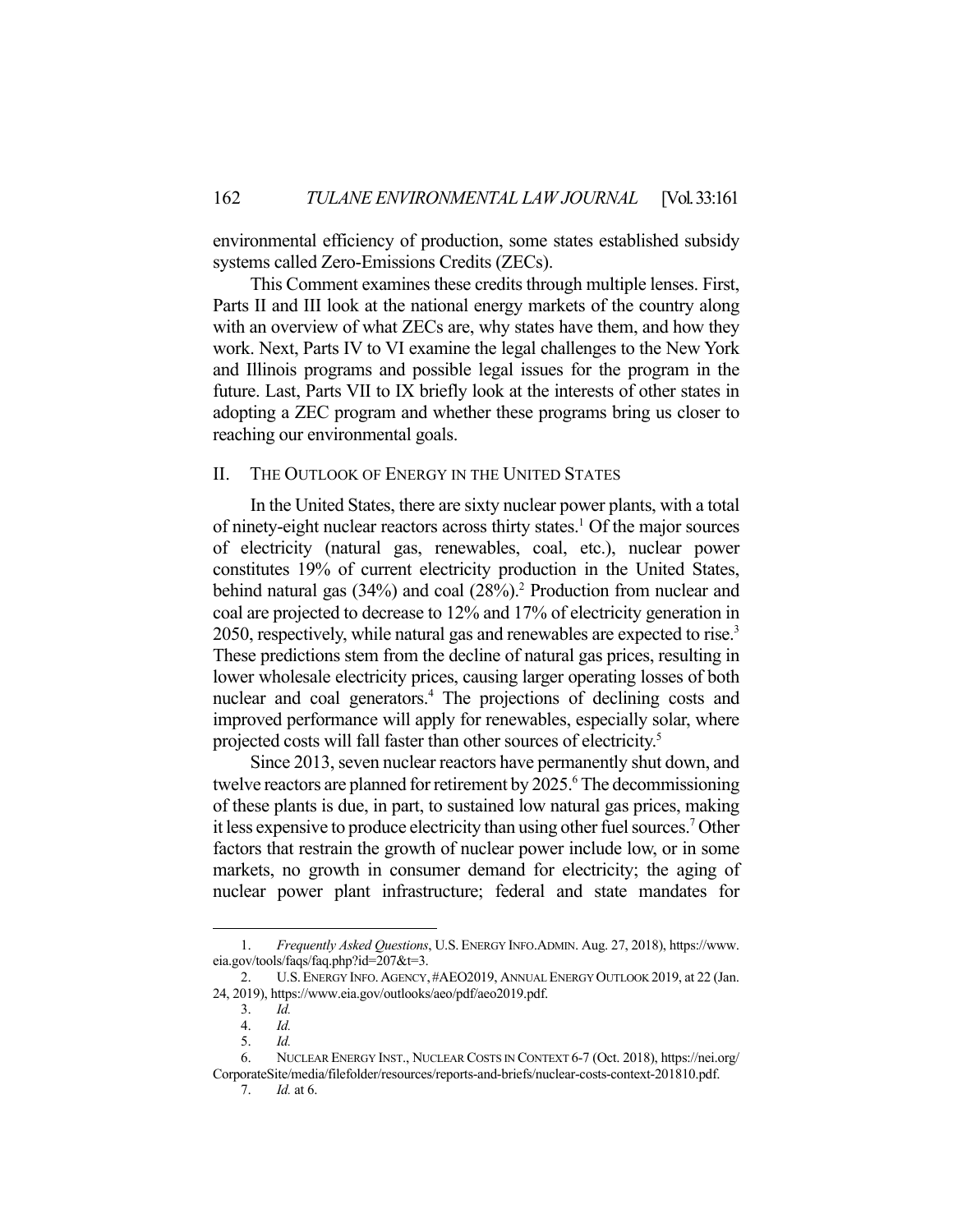environmental efficiency of production, some states established subsidy systems called Zero-Emissions Credits (ZECs).

 This Comment examines these credits through multiple lenses. First, Parts II and III look at the national energy markets of the country along with an overview of what ZECs are, why states have them, and how they work. Next, Parts IV to VI examine the legal challenges to the New York and Illinois programs and possible legal issues for the program in the future. Last, Parts VII to IX briefly look at the interests of other states in adopting a ZEC program and whether these programs bring us closer to reaching our environmental goals.

# II. THE OUTLOOK OF ENERGY IN THE UNITED STATES

 In the United States, there are sixty nuclear power plants, with a total of ninety-eight nuclear reactors across thirty states.<sup>1</sup> Of the major sources of electricity (natural gas, renewables, coal, etc.), nuclear power constitutes 19% of current electricity production in the United States, behind natural gas (34%) and coal (28%).<sup>2</sup> Production from nuclear and coal are projected to decrease to 12% and 17% of electricity generation in 2050, respectively, while natural gas and renewables are expected to rise.<sup>3</sup> These predictions stem from the decline of natural gas prices, resulting in lower wholesale electricity prices, causing larger operating losses of both nuclear and coal generators.<sup>4</sup> The projections of declining costs and improved performance will apply for renewables, especially solar, where projected costs will fall faster than other sources of electricity.<sup>5</sup>

 Since 2013, seven nuclear reactors have permanently shut down, and twelve reactors are planned for retirement by 2025.<sup>6</sup> The decommissioning of these plants is due, in part, to sustained low natural gas prices, making it less expensive to produce electricity than using other fuel sources.7 Other factors that restrain the growth of nuclear power include low, or in some markets, no growth in consumer demand for electricity; the aging of nuclear power plant infrastructure; federal and state mandates for

 <sup>1.</sup> *Frequently Asked Questions*, U.S. ENERGY INFO.ADMIN. Aug. 27, 2018), https://www. eia.gov/tools/faqs/faq.php?id=207&t=3.

 <sup>2.</sup> U.S.ENERGY INFO.AGENCY, #AEO2019, ANNUAL ENERGY OUTLOOK 2019, at 22 (Jan. 24, 2019), https://www.eia.gov/outlooks/aeo/pdf/aeo2019.pdf.

 <sup>3.</sup> *Id.*

 <sup>4.</sup> *Id.* 

 <sup>5.</sup> *Id.* 

 <sup>6.</sup> NUCLEAR ENERGY INST., NUCLEAR COSTS IN CONTEXT 6-7 (Oct. 2018), https://nei.org/ CorporateSite/media/filefolder/resources/reports-and-briefs/nuclear-costs-context-201810.pdf.

 <sup>7.</sup> *Id.* at 6.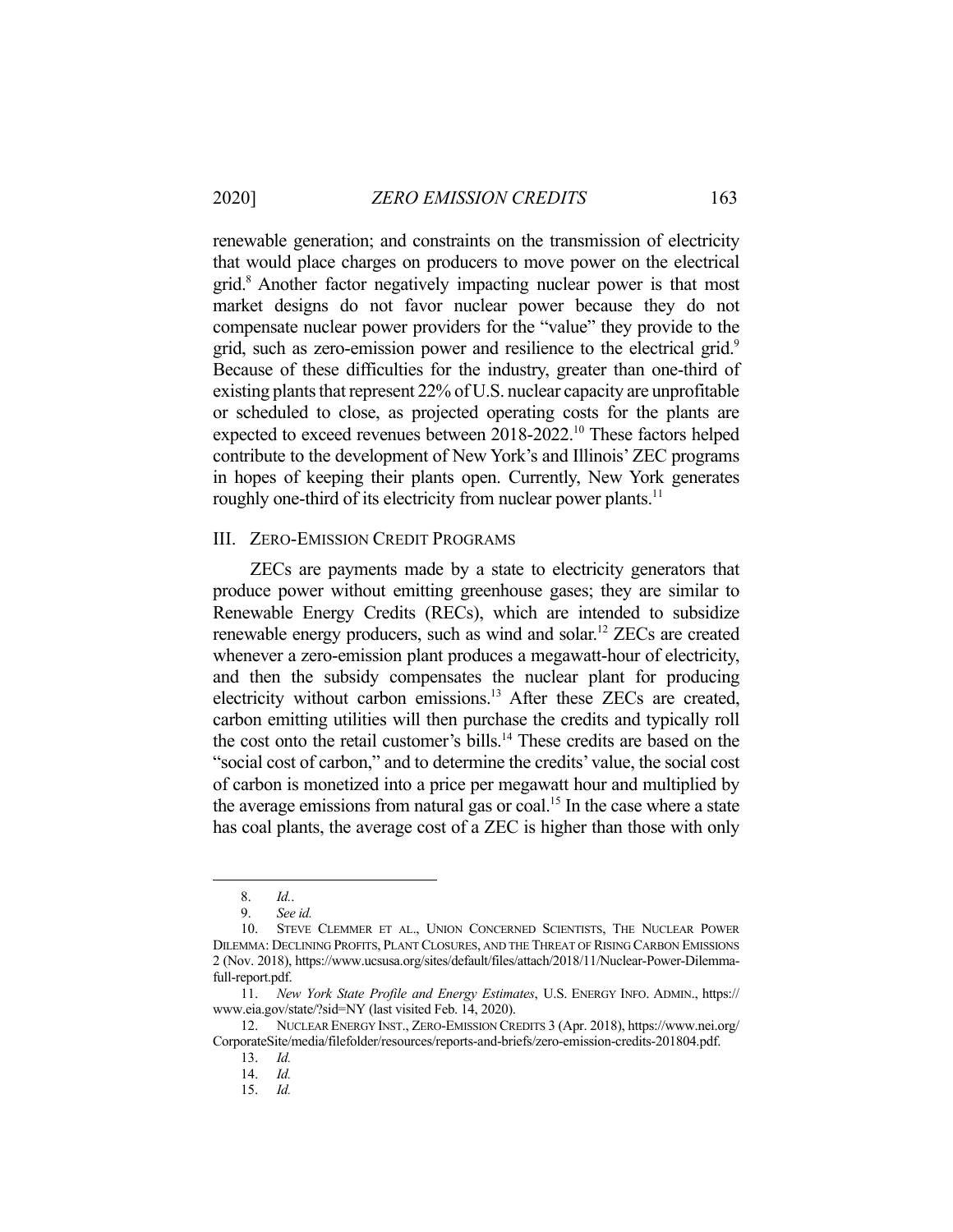renewable generation; and constraints on the transmission of electricity that would place charges on producers to move power on the electrical grid.<sup>8</sup> Another factor negatively impacting nuclear power is that most market designs do not favor nuclear power because they do not compensate nuclear power providers for the "value" they provide to the grid, such as zero-emission power and resilience to the electrical grid.<sup>9</sup> Because of these difficulties for the industry, greater than one-third of existing plants that represent 22% of U.S. nuclear capacity are unprofitable or scheduled to close, as projected operating costs for the plants are expected to exceed revenues between 2018-2022.10 These factors helped contribute to the development of New York's and Illinois' ZEC programs in hopes of keeping their plants open. Currently, New York generates roughly one-third of its electricity from nuclear power plants.<sup>11</sup>

## III. ZERO-EMISSION CREDIT PROGRAMS

 ZECs are payments made by a state to electricity generators that produce power without emitting greenhouse gases; they are similar to Renewable Energy Credits (RECs), which are intended to subsidize renewable energy producers, such as wind and solar.<sup>12</sup> ZECs are created whenever a zero-emission plant produces a megawatt-hour of electricity, and then the subsidy compensates the nuclear plant for producing electricity without carbon emissions.13 After these ZECs are created, carbon emitting utilities will then purchase the credits and typically roll the cost onto the retail customer's bills.<sup>14</sup> These credits are based on the "social cost of carbon," and to determine the credits' value, the social cost of carbon is monetized into a price per megawatt hour and multiplied by the average emissions from natural gas or coal.<sup>15</sup> In the case where a state has coal plants, the average cost of a ZEC is higher than those with only

 <sup>8.</sup> *Id.*.

 <sup>9.</sup> *See id.* 

 <sup>10.</sup> STEVE CLEMMER ET AL., UNION CONCERNED SCIENTISTS, THE NUCLEAR POWER DILEMMA: DECLINING PROFITS, PLANT CLOSURES, AND THE THREAT OF RISING CARBON EMISSIONS 2 (Nov. 2018), https://www.ucsusa.org/sites/default/files/attach/2018/11/Nuclear-Power-Dilemmafull-report.pdf.

 <sup>11.</sup> *New York State Profile and Energy Estimates*, U.S. ENERGY INFO. ADMIN., https:// www.eia.gov/state/?sid=NY (last visited Feb. 14, 2020).

 <sup>12.</sup> NUCLEAR ENERGY INST., ZERO-EMISSION CREDITS 3 (Apr. 2018), https://www.nei.org/ CorporateSite/media/filefolder/resources/reports-and-briefs/zero-emission-credits-201804.pdf.

 <sup>13.</sup> *Id.* 

 <sup>14.</sup> *Id.* 

 <sup>15.</sup> *Id.*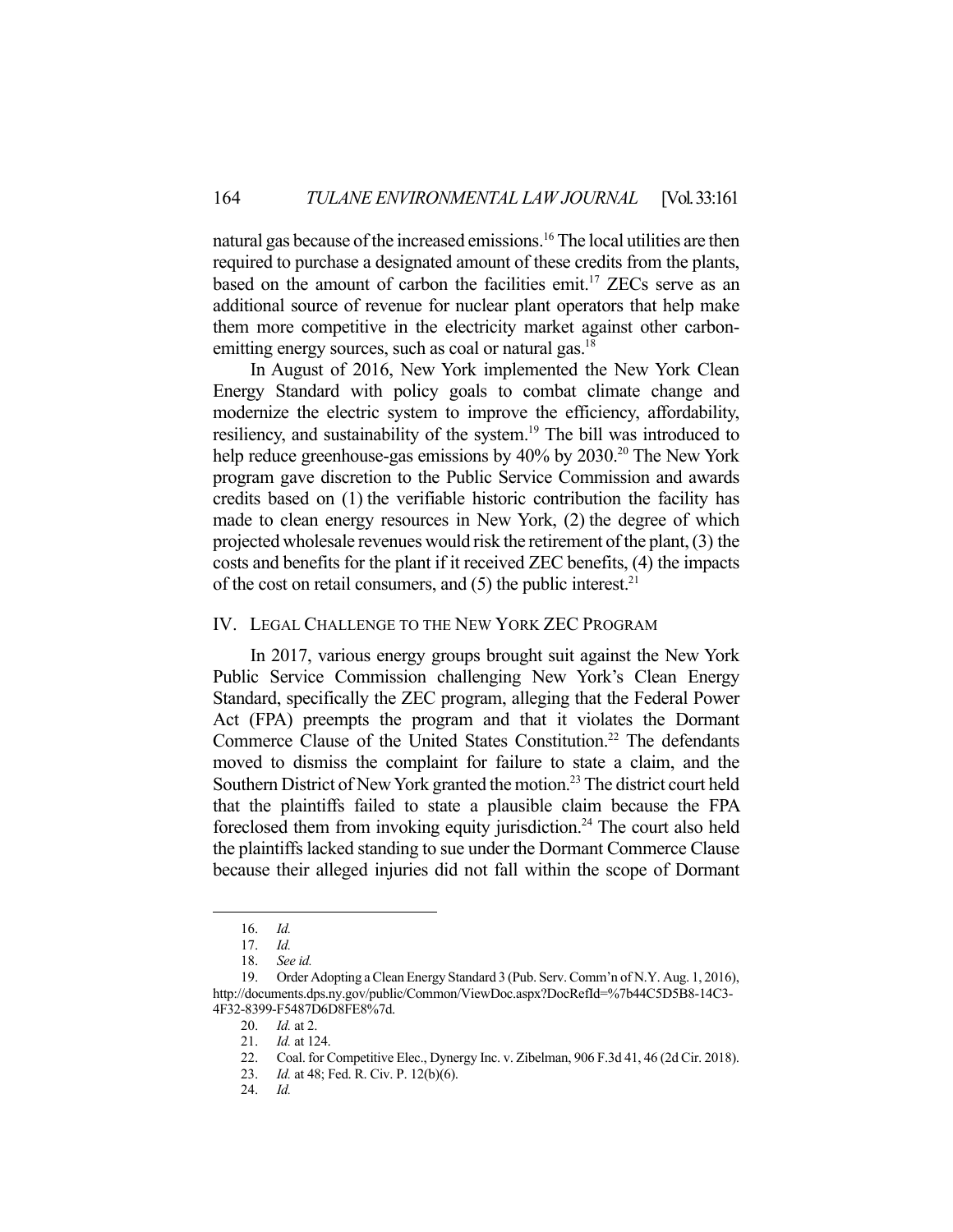natural gas because of the increased emissions.<sup>16</sup> The local utilities are then required to purchase a designated amount of these credits from the plants, based on the amount of carbon the facilities emit.<sup>17</sup> ZECs serve as an additional source of revenue for nuclear plant operators that help make them more competitive in the electricity market against other carbonemitting energy sources, such as coal or natural gas.<sup>18</sup>

 In August of 2016, New York implemented the New York Clean Energy Standard with policy goals to combat climate change and modernize the electric system to improve the efficiency, affordability, resiliency, and sustainability of the system.<sup>19</sup> The bill was introduced to help reduce greenhouse-gas emissions by  $40\%$  by  $2030$ .<sup>20</sup> The New York program gave discretion to the Public Service Commission and awards credits based on (1) the verifiable historic contribution the facility has made to clean energy resources in New York, (2) the degree of which projected wholesale revenues would risk the retirement of the plant, (3) the costs and benefits for the plant if it received ZEC benefits, (4) the impacts of the cost on retail consumers, and  $(5)$  the public interest.<sup>21</sup>

# IV. LEGAL CHALLENGE TO THE NEW YORK ZEC PROGRAM

In 2017, various energy groups brought suit against the New York Public Service Commission challenging New York's Clean Energy Standard, specifically the ZEC program, alleging that the Federal Power Act (FPA) preempts the program and that it violates the Dormant Commerce Clause of the United States Constitution.<sup>22</sup> The defendants moved to dismiss the complaint for failure to state a claim, and the Southern District of New York granted the motion.<sup>23</sup> The district court held that the plaintiffs failed to state a plausible claim because the FPA foreclosed them from invoking equity jurisdiction.<sup>24</sup> The court also held the plaintiffs lacked standing to sue under the Dormant Commerce Clause because their alleged injuries did not fall within the scope of Dormant

24. *Id.* 

 <sup>16.</sup> *Id.* 

 <sup>17.</sup> *Id.* 

 <sup>18.</sup> *See id.*

 <sup>19.</sup> Order Adopting a Clean Energy Standard 3 (Pub. Serv. Comm'n of N.Y. Aug. 1, 2016), http://documents.dps.ny.gov/public/Common/ViewDoc.aspx?DocRefId=%7b44C5D5B8-14C3- 4F32-8399-F5487D6D8FE8%7d.

 <sup>20.</sup> *Id.* at 2.

 <sup>21.</sup> *Id.* at 124.

 <sup>22.</sup> Coal. for Competitive Elec., Dynergy Inc. v. Zibelman, 906 F.3d 41, 46 (2d Cir. 2018).

 <sup>23.</sup> *Id.* at 48; Fed. R. Civ. P. 12(b)(6).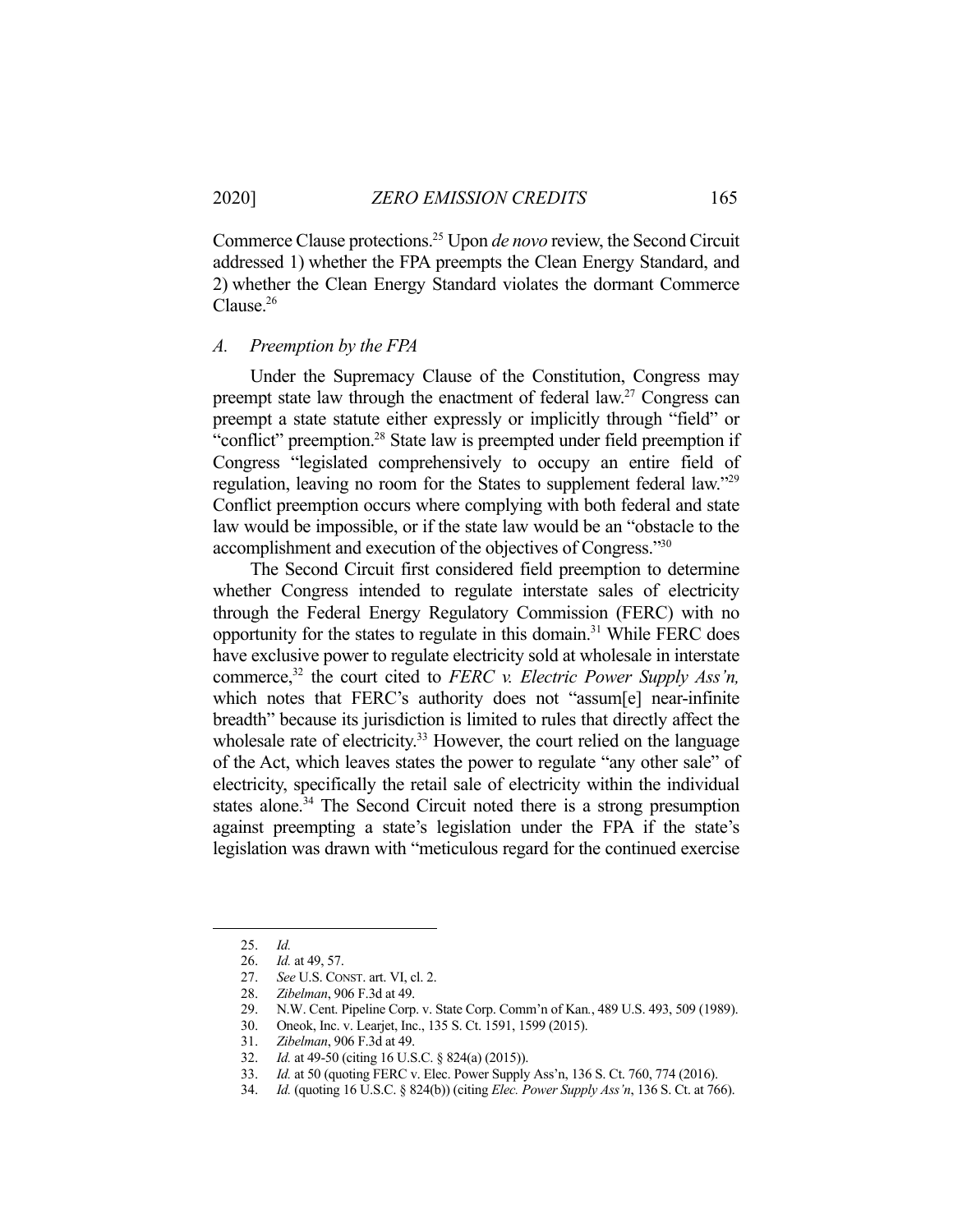Commerce Clause protections.25 Upon *de novo* review, the Second Circuit addressed 1) whether the FPA preempts the Clean Energy Standard, and 2) whether the Clean Energy Standard violates the dormant Commerce Clause.26

#### *A. Preemption by the FPA*

 Under the Supremacy Clause of the Constitution, Congress may preempt state law through the enactment of federal law.<sup>27</sup> Congress can preempt a state statute either expressly or implicitly through "field" or "conflict" preemption.<sup>28</sup> State law is preempted under field preemption if Congress "legislated comprehensively to occupy an entire field of regulation, leaving no room for the States to supplement federal law."29 Conflict preemption occurs where complying with both federal and state law would be impossible, or if the state law would be an "obstacle to the accomplishment and execution of the objectives of Congress."30

 The Second Circuit first considered field preemption to determine whether Congress intended to regulate interstate sales of electricity through the Federal Energy Regulatory Commission (FERC) with no opportunity for the states to regulate in this domain.<sup>31</sup> While FERC does have exclusive power to regulate electricity sold at wholesale in interstate commerce,32 the court cited to *FERC v. Electric Power Supply Ass'n,* which notes that FERC's authority does not "assum[e] near-infinite breadth" because its jurisdiction is limited to rules that directly affect the wholesale rate of electricity.<sup>33</sup> However, the court relied on the language of the Act, which leaves states the power to regulate "any other sale" of electricity, specifically the retail sale of electricity within the individual states alone.<sup>34</sup> The Second Circuit noted there is a strong presumption against preempting a state's legislation under the FPA if the state's legislation was drawn with "meticulous regard for the continued exercise

 <sup>25.</sup> *Id.* 

 <sup>26.</sup> *Id.* at 49, 57.

 <sup>27.</sup> *See* U.S. CONST. art. VI, cl. 2.

 <sup>28.</sup> *Zibelman*, 906 F.3d at 49.

 <sup>29.</sup> N.W. Cent. Pipeline Corp. v. State Corp. Comm'n of Kan*.*, 489 U.S. 493, 509 (1989).

 <sup>30.</sup> Oneok, Inc. v. Learjet, Inc., 135 S. Ct. 1591, 1599 (2015).

 <sup>31.</sup> *Zibelman*, 906 F.3d at 49.

 <sup>32.</sup> *Id.* at 49-50 (citing 16 U.S.C. § 824(a) (2015)).

 <sup>33.</sup> *Id.* at 50 (quoting FERC v. Elec. Power Supply Ass'n, 136 S. Ct. 760, 774 (2016).

 <sup>34.</sup> *Id.* (quoting 16 U.S.C. § 824(b)) (citing *Elec. Power Supply Ass'n*, 136 S. Ct. at 766).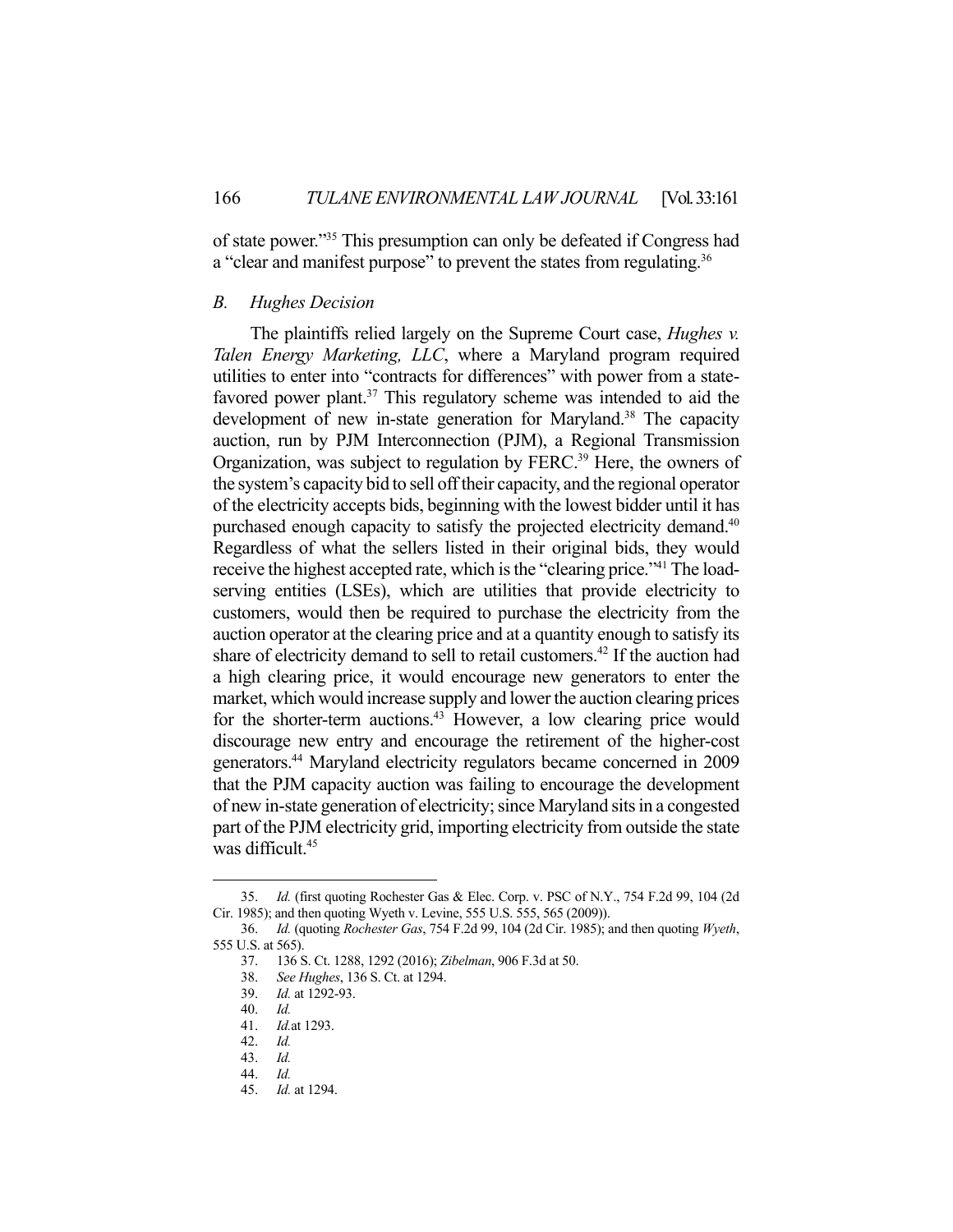of state power."35 This presumption can only be defeated if Congress had a "clear and manifest purpose" to prevent the states from regulating.<sup>36</sup>

#### *B. Hughes Decision*

 The plaintiffs relied largely on the Supreme Court case, *Hughes v. Talen Energy Marketing, LLC*, where a Maryland program required utilities to enter into "contracts for differences" with power from a statefavored power plant. $37$  This regulatory scheme was intended to aid the development of new in-state generation for Maryland.<sup>38</sup> The capacity auction, run by PJM Interconnection (PJM), a Regional Transmission Organization, was subject to regulation by FERC.<sup>39</sup> Here, the owners of the system's capacity bid to sell off their capacity, and the regional operator of the electricity accepts bids, beginning with the lowest bidder until it has purchased enough capacity to satisfy the projected electricity demand.<sup>40</sup> Regardless of what the sellers listed in their original bids, they would receive the highest accepted rate, which is the "clearing price."41 The loadserving entities (LSEs), which are utilities that provide electricity to customers, would then be required to purchase the electricity from the auction operator at the clearing price and at a quantity enough to satisfy its share of electricity demand to sell to retail customers.<sup>42</sup> If the auction had a high clearing price, it would encourage new generators to enter the market, which would increase supply and lower the auction clearing prices for the shorter-term auctions.<sup>43</sup> However, a low clearing price would discourage new entry and encourage the retirement of the higher-cost generators.44 Maryland electricity regulators became concerned in 2009 that the PJM capacity auction was failing to encourage the development of new in-state generation of electricity; since Maryland sits in a congested part of the PJM electricity grid, importing electricity from outside the state was difficult.<sup>45</sup>

 <sup>35.</sup> *Id.* (first quoting Rochester Gas & Elec. Corp. v. PSC of N.Y., 754 F.2d 99, 104 (2d Cir. 1985); and then quoting Wyeth v. Levine, 555 U.S. 555, 565 (2009)).

 <sup>36.</sup> *Id.* (quoting *Rochester Gas*, 754 F.2d 99, 104 (2d Cir. 1985); and then quoting *Wyeth*, 555 U.S. at 565).

 <sup>37. 136</sup> S. Ct. 1288, 1292 (2016); *Zibelman*, 906 F.3d at 50.

 <sup>38.</sup> *See Hughes*, 136 S. Ct. at 1294.

 <sup>39.</sup> *Id.* at 1292-93.

 <sup>40.</sup> *Id.*

 <sup>41.</sup> *Id.*at 1293.

 <sup>42.</sup> *Id.* 

 <sup>43.</sup> *Id.* 

 <sup>44.</sup> *Id.* 

 <sup>45.</sup> *Id.* at 1294.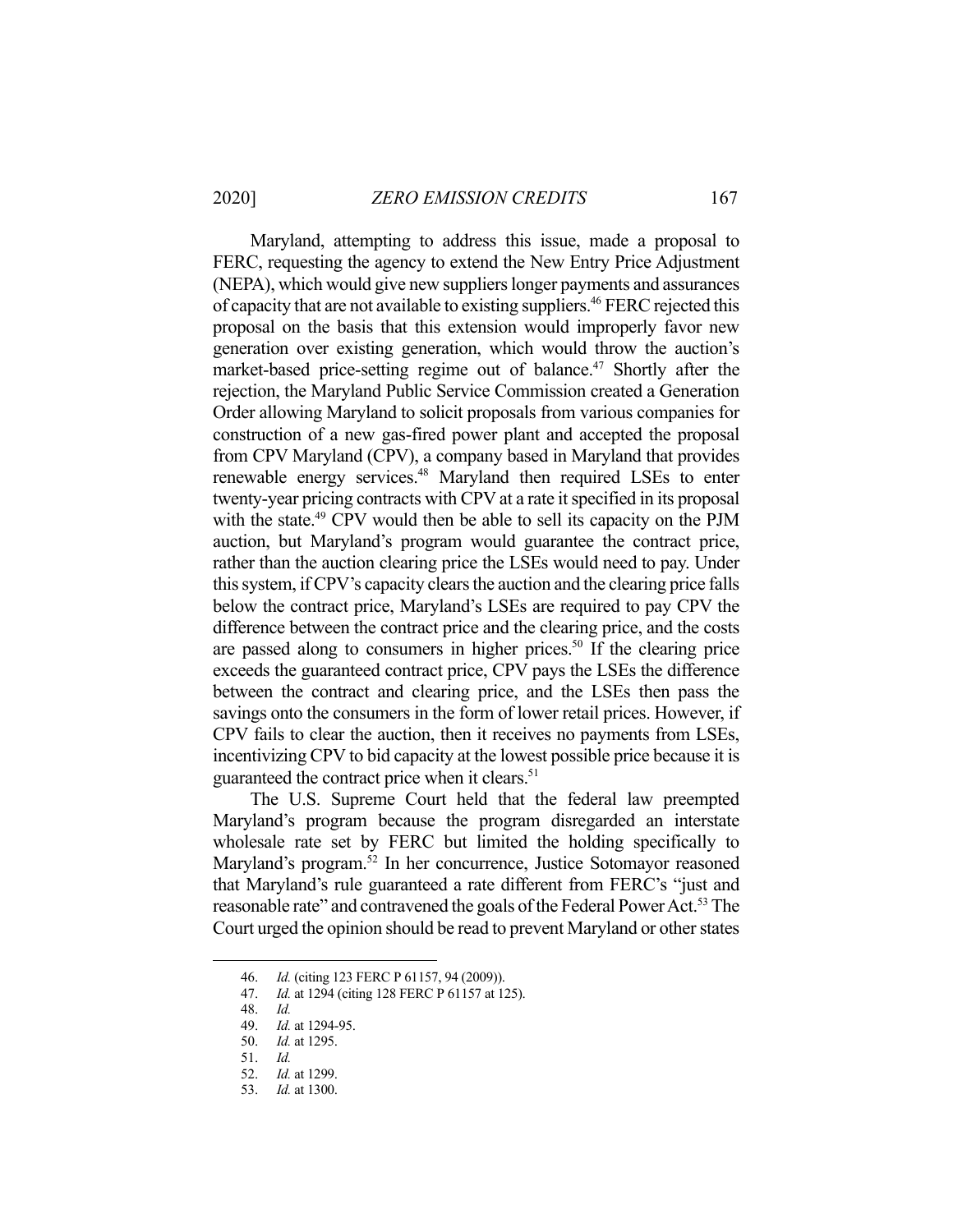Maryland, attempting to address this issue, made a proposal to FERC, requesting the agency to extend the New Entry Price Adjustment (NEPA), which would give new suppliers longer payments and assurances of capacity that are not available to existing suppliers.<sup>46</sup> FERC rejected this proposal on the basis that this extension would improperly favor new generation over existing generation, which would throw the auction's market-based price-setting regime out of balance.<sup>47</sup> Shortly after the rejection, the Maryland Public Service Commission created a Generation Order allowing Maryland to solicit proposals from various companies for construction of a new gas-fired power plant and accepted the proposal from CPV Maryland (CPV), a company based in Maryland that provides renewable energy services.<sup>48</sup> Maryland then required LSEs to enter twenty-year pricing contracts with CPV at a rate it specified in its proposal with the state.<sup>49</sup> CPV would then be able to sell its capacity on the PJM auction, but Maryland's program would guarantee the contract price, rather than the auction clearing price the LSEs would need to pay. Under this system, if CPV's capacity clears the auction and the clearing price falls below the contract price, Maryland's LSEs are required to pay CPV the difference between the contract price and the clearing price, and the costs are passed along to consumers in higher prices.<sup>50</sup> If the clearing price exceeds the guaranteed contract price, CPV pays the LSEs the difference between the contract and clearing price, and the LSEs then pass the savings onto the consumers in the form of lower retail prices. However, if CPV fails to clear the auction, then it receives no payments from LSEs, incentivizing CPV to bid capacity at the lowest possible price because it is guaranteed the contract price when it clears.<sup>51</sup>

 The U.S. Supreme Court held that the federal law preempted Maryland's program because the program disregarded an interstate wholesale rate set by FERC but limited the holding specifically to Maryland's program.<sup>52</sup> In her concurrence, Justice Sotomayor reasoned that Maryland's rule guaranteed a rate different from FERC's "just and reasonable rate" and contravened the goals of the Federal Power Act.<sup>53</sup> The Court urged the opinion should be read to prevent Maryland or other states

 <sup>46.</sup> *Id.* (citing 123 FERC P 61157, 94 (2009)).

 <sup>47.</sup> *Id.* at 1294 (citing 128 FERC P 61157 at 125).

 <sup>48.</sup> *Id.*

 <sup>49.</sup> *Id.* at 1294-95.

 <sup>50.</sup> *Id.* at 1295.

 <sup>51.</sup> *Id.* 

 <sup>52.</sup> *Id.* at 1299.

 <sup>53.</sup> *Id.* at 1300.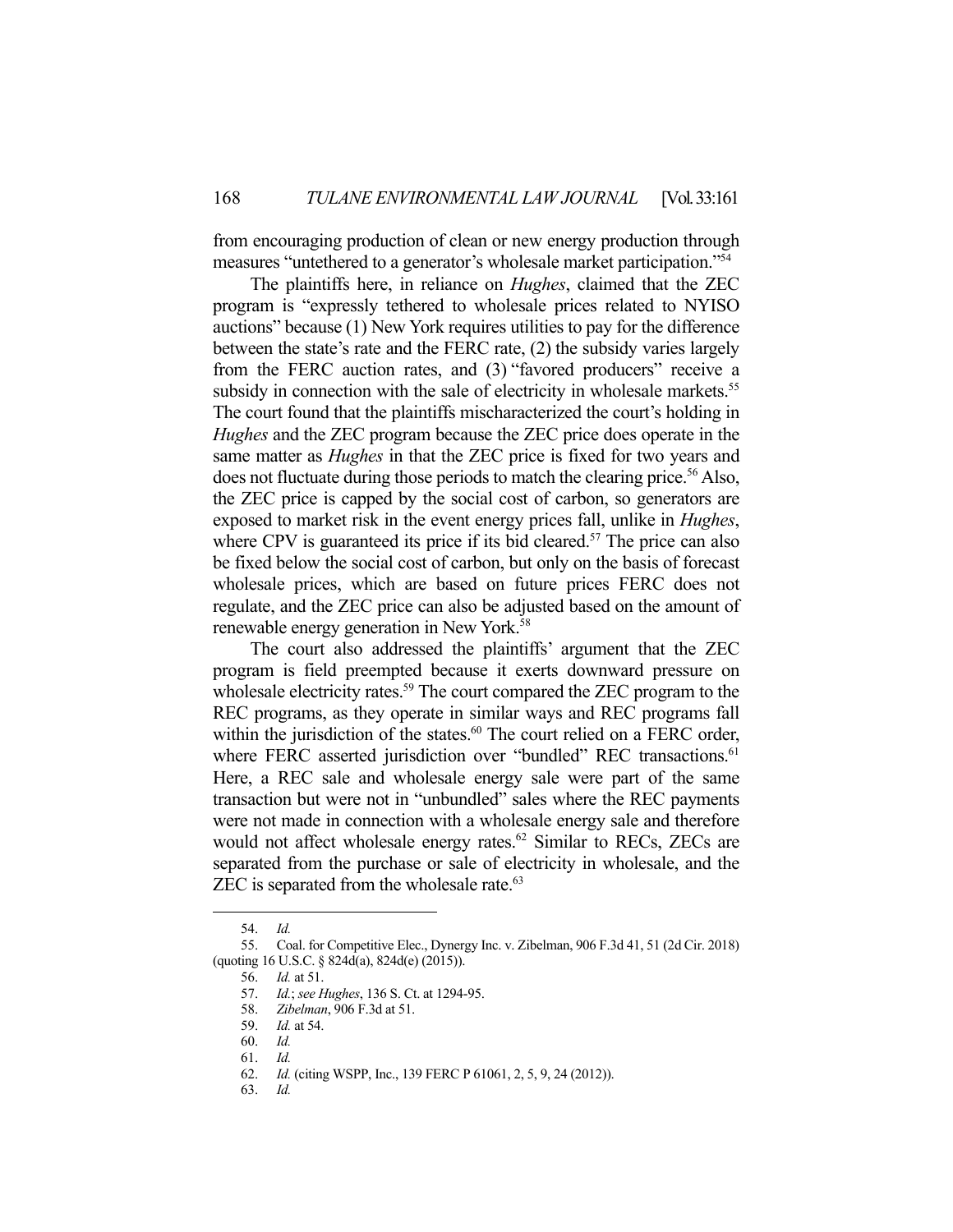from encouraging production of clean or new energy production through measures "untethered to a generator's wholesale market participation."54

 The plaintiffs here, in reliance on *Hughes*, claimed that the ZEC program is "expressly tethered to wholesale prices related to NYISO auctions" because (1) New York requires utilities to pay for the difference between the state's rate and the FERC rate, (2) the subsidy varies largely from the FERC auction rates, and (3) "favored producers" receive a subsidy in connection with the sale of electricity in wholesale markets.<sup>55</sup> The court found that the plaintiffs mischaracterized the court's holding in *Hughes* and the ZEC program because the ZEC price does operate in the same matter as *Hughes* in that the ZEC price is fixed for two years and does not fluctuate during those periods to match the clearing price.<sup>56</sup> Also, the ZEC price is capped by the social cost of carbon, so generators are exposed to market risk in the event energy prices fall, unlike in *Hughes*, where CPV is guaranteed its price if its bid cleared.<sup>57</sup> The price can also be fixed below the social cost of carbon, but only on the basis of forecast wholesale prices, which are based on future prices FERC does not regulate, and the ZEC price can also be adjusted based on the amount of renewable energy generation in New York.<sup>58</sup>

 The court also addressed the plaintiffs' argument that the ZEC program is field preempted because it exerts downward pressure on wholesale electricity rates.<sup>59</sup> The court compared the ZEC program to the REC programs, as they operate in similar ways and REC programs fall within the jurisdiction of the states.<sup>60</sup> The court relied on a FERC order, where FERC asserted jurisdiction over "bundled" REC transactions.<sup>61</sup> Here, a REC sale and wholesale energy sale were part of the same transaction but were not in "unbundled" sales where the REC payments were not made in connection with a wholesale energy sale and therefore would not affect wholesale energy rates. $62$  Similar to RECs, ZECs are separated from the purchase or sale of electricity in wholesale, and the ZEC is separated from the wholesale rate.<sup>63</sup>

 <sup>54.</sup> *Id.* 

 <sup>55.</sup> Coal. for Competitive Elec., Dynergy Inc. v. Zibelman, 906 F.3d 41, 51 (2d Cir. 2018) (quoting 16 U.S.C. § 824d(a), 824d(e) (2015)).

 <sup>56.</sup> *Id.* at 51.

 <sup>57.</sup> *Id.*; *see Hughes*, 136 S. Ct. at 1294-95.

 <sup>58.</sup> *Zibelman*, 906 F.3d at 51.

 <sup>59.</sup> *Id.* at 54.

 <sup>60.</sup> *Id.*

 <sup>61.</sup> *Id.*

 <sup>62.</sup> *Id.* (citing WSPP, Inc., 139 FERC P 61061, 2, 5, 9, 24 (2012)).

 <sup>63.</sup> *Id.*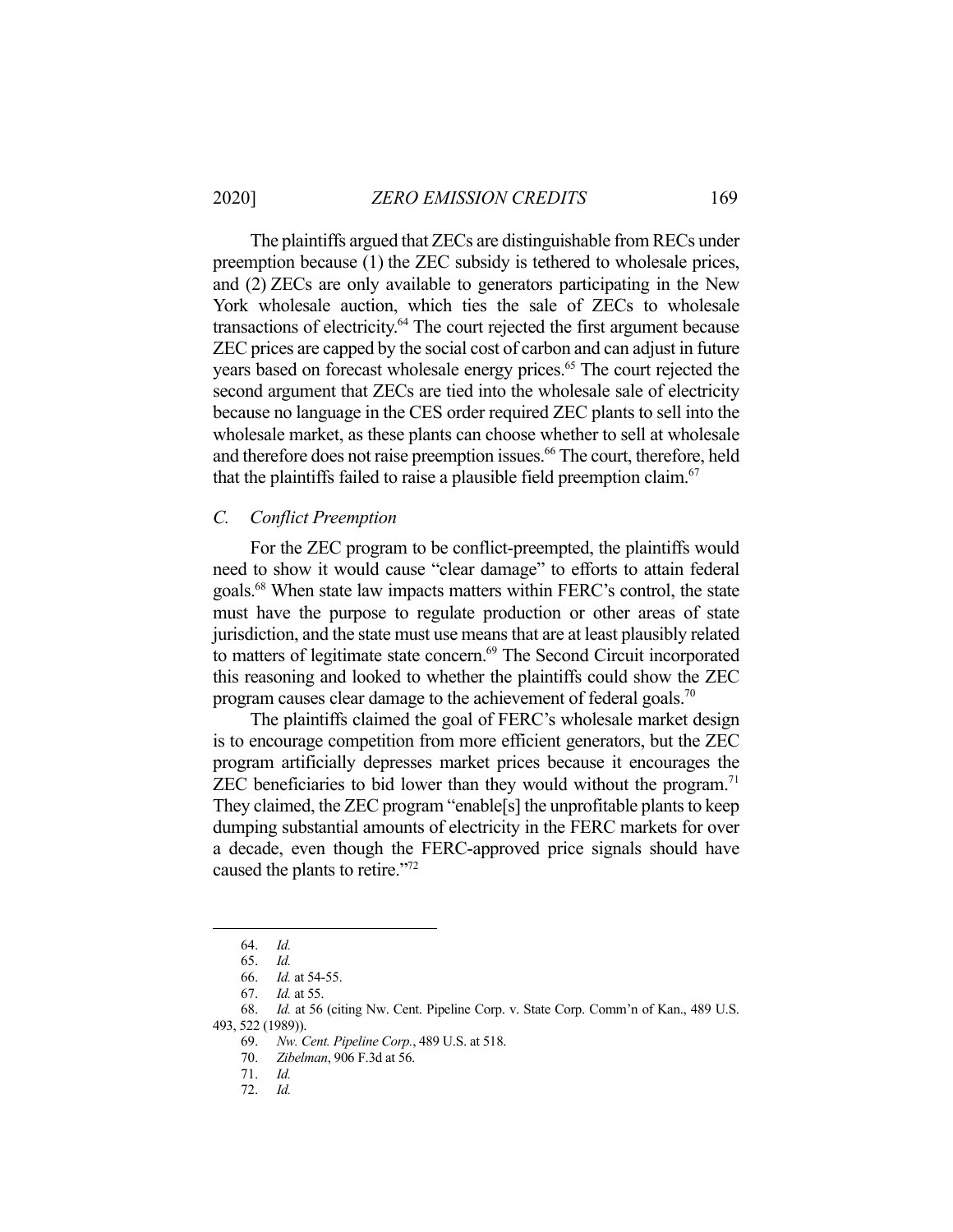The plaintiffs argued that ZECs are distinguishable from RECs under preemption because (1) the ZEC subsidy is tethered to wholesale prices, and (2) ZECs are only available to generators participating in the New York wholesale auction, which ties the sale of ZECs to wholesale transactions of electricity.<sup>64</sup> The court rejected the first argument because ZEC prices are capped by the social cost of carbon and can adjust in future years based on forecast wholesale energy prices.<sup>65</sup> The court rejected the second argument that ZECs are tied into the wholesale sale of electricity because no language in the CES order required ZEC plants to sell into the wholesale market, as these plants can choose whether to sell at wholesale and therefore does not raise preemption issues.<sup>66</sup> The court, therefore, held that the plaintiffs failed to raise a plausible field preemption claim.<sup>67</sup>

#### *C. Conflict Preemption*

 For the ZEC program to be conflict-preempted, the plaintiffs would need to show it would cause "clear damage" to efforts to attain federal goals.68 When state law impacts matters within FERC's control, the state must have the purpose to regulate production or other areas of state jurisdiction, and the state must use means that are at least plausibly related to matters of legitimate state concern.<sup>69</sup> The Second Circuit incorporated this reasoning and looked to whether the plaintiffs could show the ZEC program causes clear damage to the achievement of federal goals.<sup>70</sup>

 The plaintiffs claimed the goal of FERC's wholesale market design is to encourage competition from more efficient generators, but the ZEC program artificially depresses market prices because it encourages the ZEC beneficiaries to bid lower than they would without the program.<sup>71</sup> They claimed, the ZEC program "enable[s] the unprofitable plants to keep dumping substantial amounts of electricity in the FERC markets for over a decade, even though the FERC-approved price signals should have caused the plants to retire."<sup>72</sup>

 <sup>64.</sup> *Id.*

 <sup>65.</sup> *Id.* 

 <sup>66.</sup> *Id.* at 54-55.

 <sup>67.</sup> *Id.* at 55.

 <sup>68.</sup> *Id.* at 56 (citing Nw. Cent. Pipeline Corp. v. State Corp. Comm'n of Kan., 489 U.S. 493, 522 (1989)).

 <sup>69.</sup> *Nw. Cent. Pipeline Corp.*, 489 U.S. at 518.

 <sup>70.</sup> *Zibelman*, 906 F.3d at 56.

 <sup>71.</sup> *Id.* 

 <sup>72.</sup> *Id.*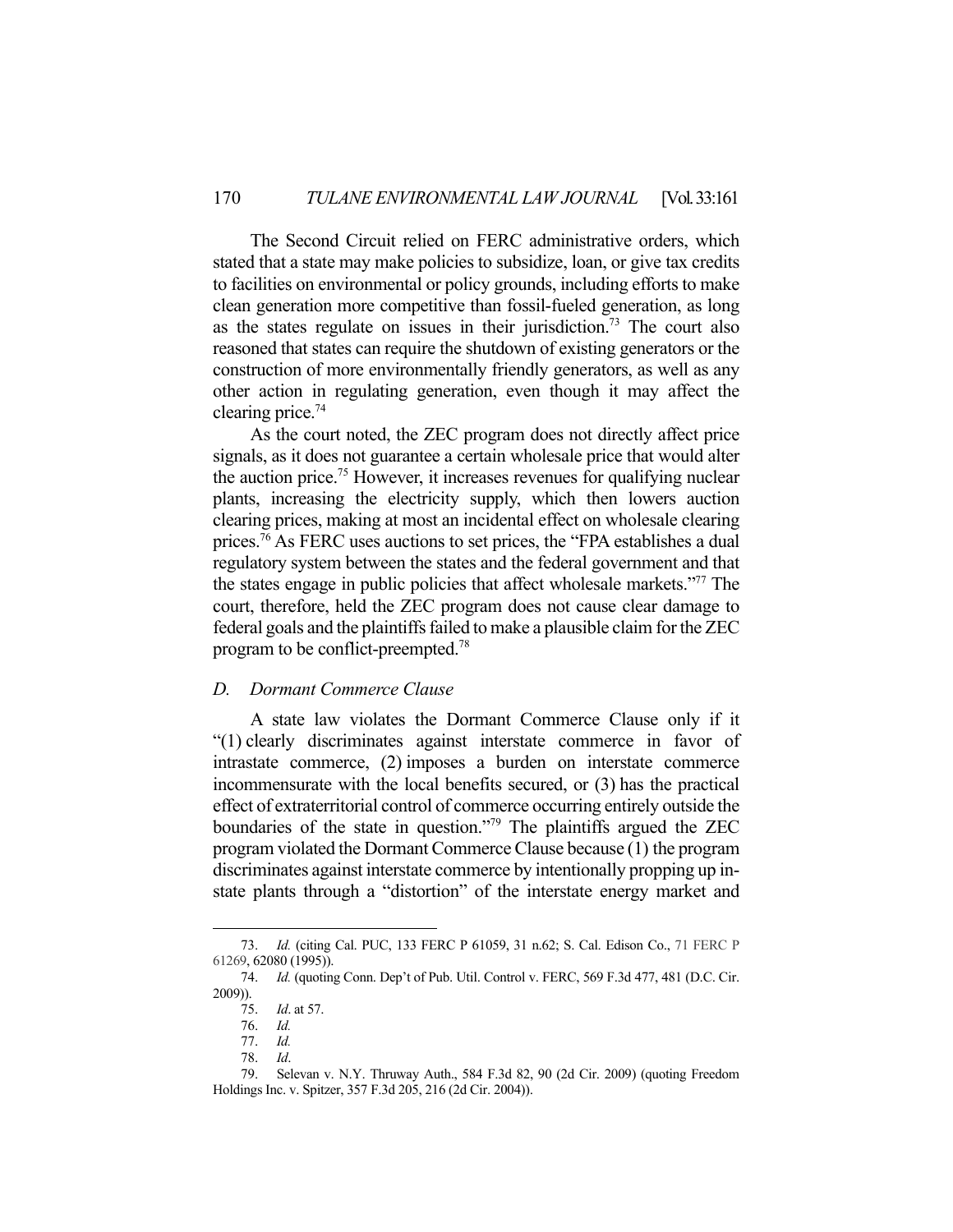The Second Circuit relied on FERC administrative orders, which stated that a state may make policies to subsidize, loan, or give tax credits to facilities on environmental or policy grounds, including efforts to make clean generation more competitive than fossil-fueled generation, as long as the states regulate on issues in their jurisdiction.<sup>73</sup> The court also reasoned that states can require the shutdown of existing generators or the construction of more environmentally friendly generators, as well as any other action in regulating generation, even though it may affect the clearing price.74

 As the court noted, the ZEC program does not directly affect price signals, as it does not guarantee a certain wholesale price that would alter the auction price.75 However, it increases revenues for qualifying nuclear plants, increasing the electricity supply, which then lowers auction clearing prices, making at most an incidental effect on wholesale clearing prices.<sup>76</sup> As FERC uses auctions to set prices, the "FPA establishes a dual regulatory system between the states and the federal government and that the states engage in public policies that affect wholesale markets."77 The court, therefore, held the ZEC program does not cause clear damage to federal goals and the plaintiffs failed to make a plausible claim for the ZEC program to be conflict-preempted.78

#### *D. Dormant Commerce Clause*

 A state law violates the Dormant Commerce Clause only if it "(1) clearly discriminates against interstate commerce in favor of intrastate commerce, (2) imposes a burden on interstate commerce incommensurate with the local benefits secured, or (3) has the practical effect of extraterritorial control of commerce occurring entirely outside the boundaries of the state in question."79 The plaintiffs argued the ZEC program violated the Dormant Commerce Clause because (1) the program discriminates against interstate commerce by intentionally propping up instate plants through a "distortion" of the interstate energy market and

 <sup>73.</sup> *Id.* (citing Cal. PUC, 133 FERC P 61059, 31 n.62; S. Cal. Edison Co., 71 FERC P 61269, 62080 (1995)).

 <sup>74.</sup> *Id.* (quoting Conn. Dep't of Pub. Util. Control v. FERC, 569 F.3d 477, 481 (D.C. Cir. 2009)).

 <sup>75.</sup> *Id*. at 57.

 <sup>76.</sup> *Id.*

 <sup>77.</sup> *Id.* 

 <sup>78.</sup> *Id*.

 <sup>79.</sup> Selevan v. N.Y. Thruway Auth., 584 F.3d 82, 90 (2d Cir. 2009) (quoting Freedom Holdings Inc. v. Spitzer, 357 F.3d 205, 216 (2d Cir. 2004)).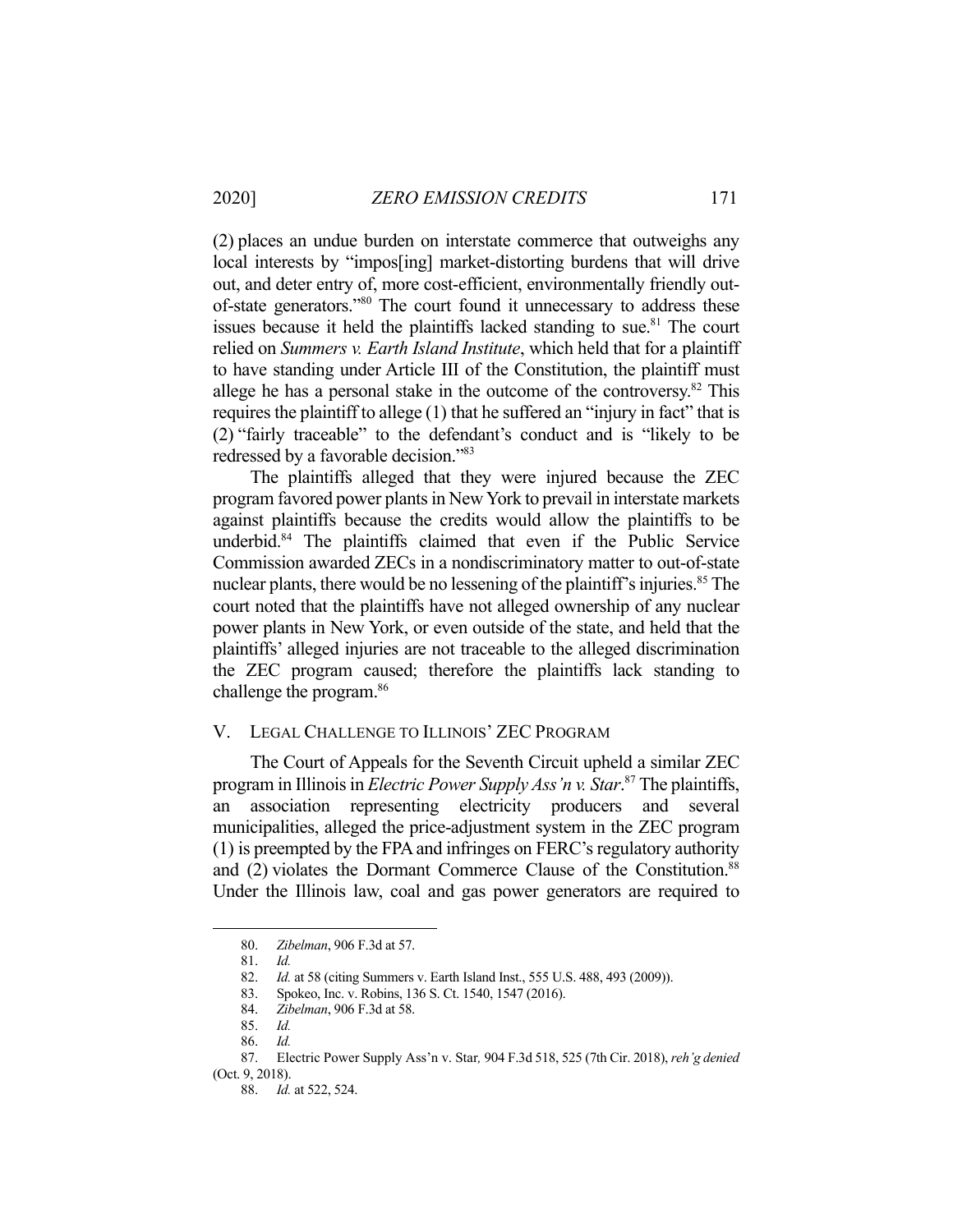(2) places an undue burden on interstate commerce that outweighs any local interests by "impos[ing] market-distorting burdens that will drive out, and deter entry of, more cost-efficient, environmentally friendly outof-state generators."80 The court found it unnecessary to address these issues because it held the plaintiffs lacked standing to sue.<sup>81</sup> The court relied on *Summers v. Earth Island Institute*, which held that for a plaintiff to have standing under Article III of the Constitution, the plaintiff must allege he has a personal stake in the outcome of the controversy.<sup>82</sup> This requires the plaintiff to allege (1) that he suffered an "injury in fact" that is (2) "fairly traceable" to the defendant's conduct and is "likely to be redressed by a favorable decision."83

 The plaintiffs alleged that they were injured because the ZEC program favored power plants in New York to prevail in interstate markets against plaintiffs because the credits would allow the plaintiffs to be underbid.84 The plaintiffs claimed that even if the Public Service Commission awarded ZECs in a nondiscriminatory matter to out-of-state nuclear plants, there would be no lessening of the plaintiff's injuries.<sup>85</sup> The court noted that the plaintiffs have not alleged ownership of any nuclear power plants in New York, or even outside of the state, and held that the plaintiffs' alleged injuries are not traceable to the alleged discrimination the ZEC program caused; therefore the plaintiffs lack standing to challenge the program.<sup>86</sup>

#### V. LEGAL CHALLENGE TO ILLINOIS' ZEC PROGRAM

 The Court of Appeals for the Seventh Circuit upheld a similar ZEC program in Illinois in *Electric Power Supply Ass'n v. Star*. 87 The plaintiffs, an association representing electricity producers and several municipalities, alleged the price-adjustment system in the ZEC program (1) is preempted by the FPA and infringes on FERC's regulatory authority and (2) violates the Dormant Commerce Clause of the Constitution.<sup>88</sup> Under the Illinois law, coal and gas power generators are required to

 <sup>80.</sup> *Zibelman*, 906 F.3d at 57.

 <sup>81.</sup> *Id. Id.* at 58 (citing Summers v. Earth Island Inst., 555 U.S. 488, 493 (2009)).

<sup>83.</sup> Spokeo, Inc. v. Robins, 136 S. Ct. 1540, 1547 (2016).<br>84. Zibelman, 906 F.3d at 58.

 <sup>84.</sup> *Zibelman*, 906 F.3d at 58.

 <sup>85.</sup> *Id.* 

 <sup>86.</sup> *Id.* 

 <sup>87.</sup> Electric Power Supply Ass'n v. Star*,* 904 F.3d 518, 525 (7th Cir. 2018), *reh'g denied* (Oct. 9, 2018).

 <sup>88.</sup> *Id.* at 522, 524.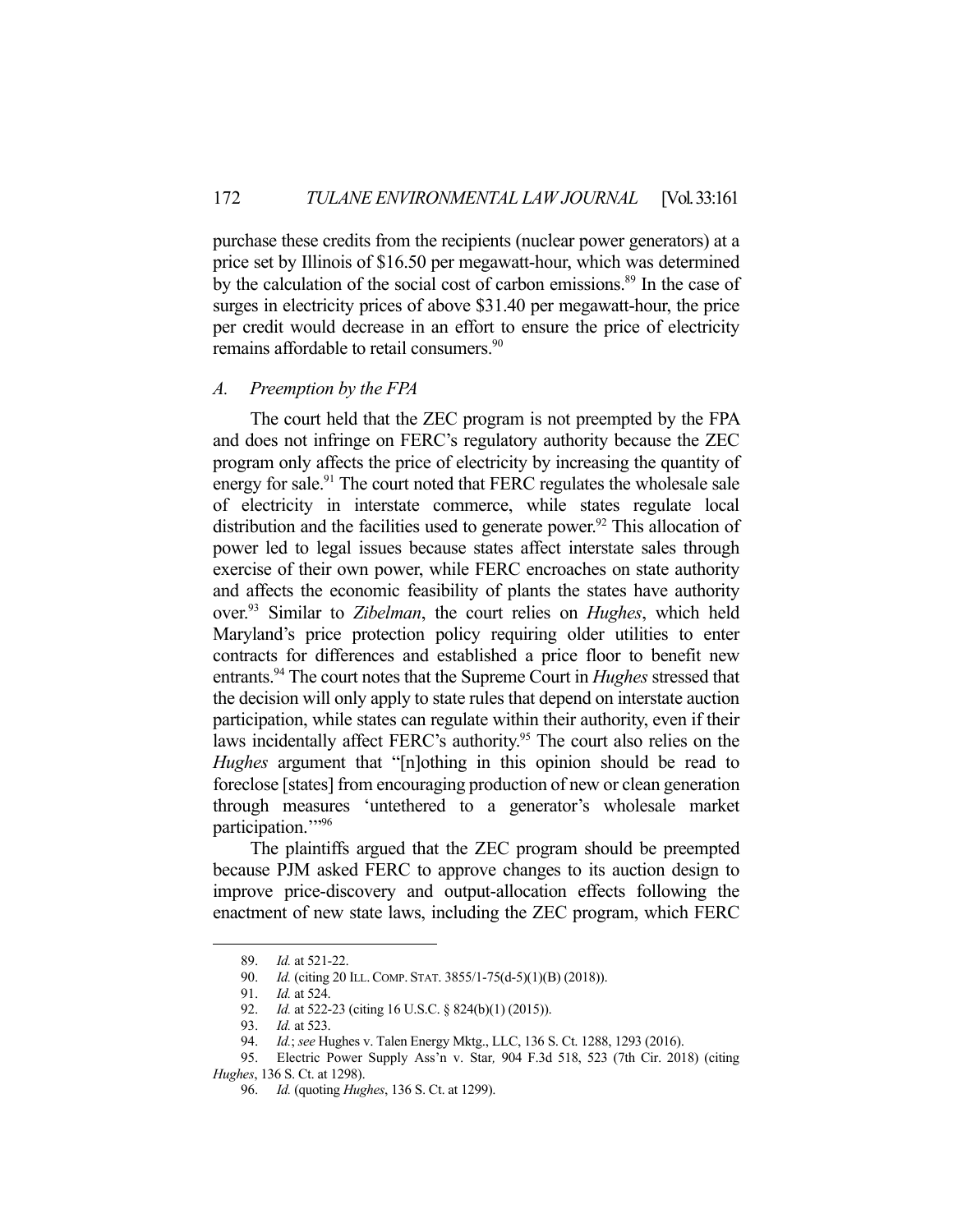purchase these credits from the recipients (nuclear power generators) at a price set by Illinois of \$16.50 per megawatt-hour, which was determined by the calculation of the social cost of carbon emissions.<sup>89</sup> In the case of surges in electricity prices of above \$31.40 per megawatt-hour, the price per credit would decrease in an effort to ensure the price of electricity remains affordable to retail consumers.<sup>90</sup>

#### *A. Preemption by the FPA*

 The court held that the ZEC program is not preempted by the FPA and does not infringe on FERC's regulatory authority because the ZEC program only affects the price of electricity by increasing the quantity of energy for sale.<sup>91</sup> The court noted that FERC regulates the wholesale sale of electricity in interstate commerce, while states regulate local distribution and the facilities used to generate power.<sup>92</sup> This allocation of power led to legal issues because states affect interstate sales through exercise of their own power, while FERC encroaches on state authority and affects the economic feasibility of plants the states have authority over.93 Similar to *Zibelman*, the court relies on *Hughes*, which held Maryland's price protection policy requiring older utilities to enter contracts for differences and established a price floor to benefit new entrants.94 The court notes that the Supreme Court in *Hughes* stressed that the decision will only apply to state rules that depend on interstate auction participation, while states can regulate within their authority, even if their laws incidentally affect FERC's authority.<sup>95</sup> The court also relies on the *Hughes* argument that "[n]othing in this opinion should be read to foreclose [states] from encouraging production of new or clean generation through measures 'untethered to a generator's wholesale market participation."<sup>96</sup>

 The plaintiffs argued that the ZEC program should be preempted because PJM asked FERC to approve changes to its auction design to improve price-discovery and output-allocation effects following the enactment of new state laws, including the ZEC program, which FERC

 <sup>89.</sup> *Id.* at 521-22.

 <sup>90.</sup> *Id.* (citing 20 ILL.COMP. STAT. 3855/1-75(d-5)(1)(B) (2018)).

 <sup>91.</sup> *Id.* at 524.

<sup>92.</sup> *Id.* at 522-23 (citing 16 U.S.C. § 824(b)(1) (2015)).

 <sup>93.</sup> *Id.* at 523.

 <sup>94.</sup> *Id.*; *see* Hughes v. Talen Energy Mktg., LLC, 136 S. Ct. 1288, 1293 (2016).

 <sup>95.</sup> Electric Power Supply Ass'n v. Star*,* 904 F.3d 518, 523 (7th Cir. 2018) (citing *Hughes*, 136 S. Ct. at 1298).

 <sup>96.</sup> *Id.* (quoting *Hughes*, 136 S. Ct. at 1299).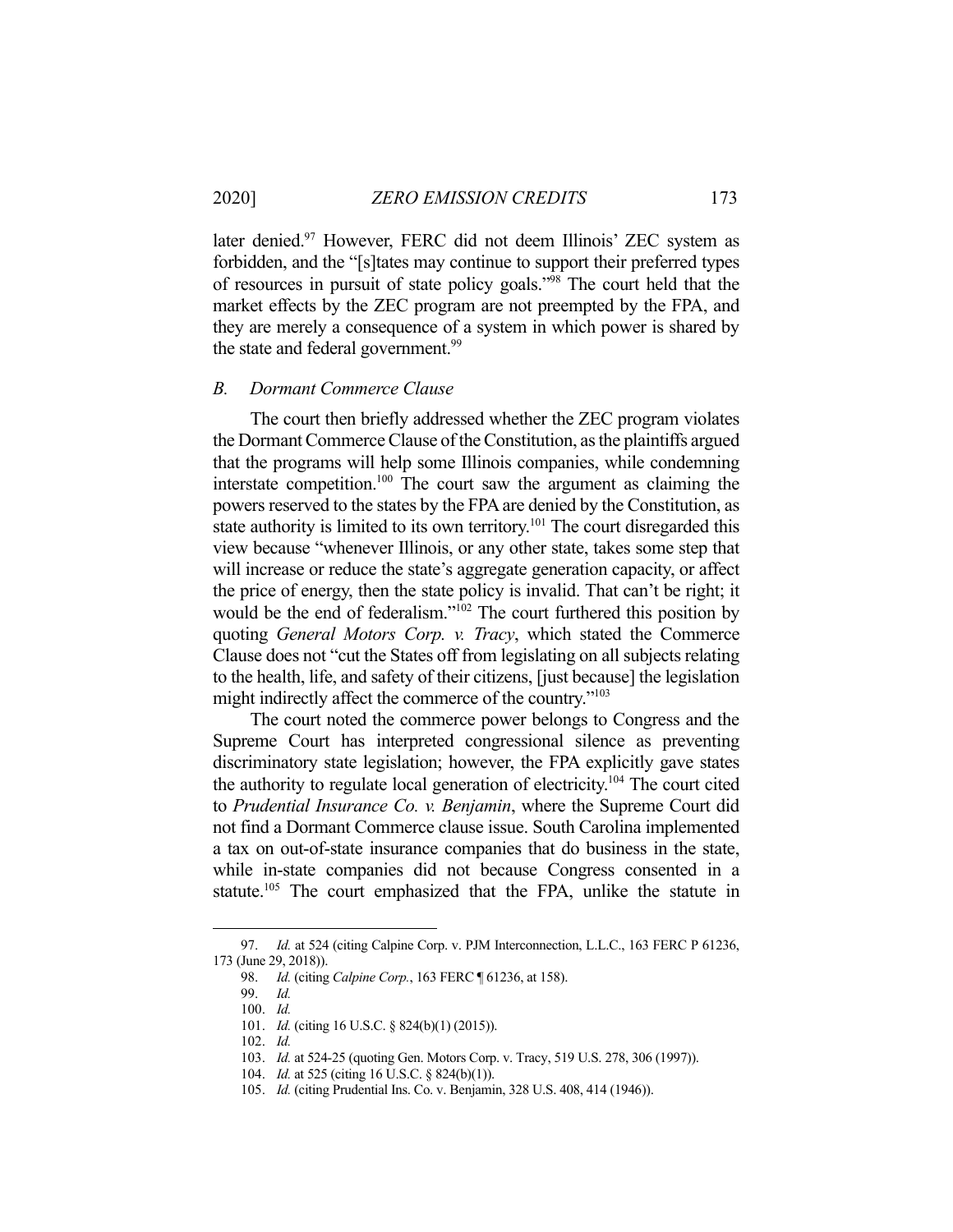later denied.<sup>97</sup> However, FERC did not deem Illinois' ZEC system as forbidden, and the "[s]tates may continue to support their preferred types of resources in pursuit of state policy goals."98 The court held that the market effects by the ZEC program are not preempted by the FPA, and they are merely a consequence of a system in which power is shared by the state and federal government.<sup>99</sup>

#### *B. Dormant Commerce Clause*

 The court then briefly addressed whether the ZEC program violates the Dormant Commerce Clause of the Constitution, as the plaintiffs argued that the programs will help some Illinois companies, while condemning interstate competition.<sup>100</sup> The court saw the argument as claiming the powers reserved to the states by the FPA are denied by the Constitution, as state authority is limited to its own territory.<sup>101</sup> The court disregarded this view because "whenever Illinois, or any other state, takes some step that will increase or reduce the state's aggregate generation capacity, or affect the price of energy, then the state policy is invalid. That can't be right; it would be the end of federalism."<sup>102</sup> The court furthered this position by quoting *General Motors Corp. v. Tracy*, which stated the Commerce Clause does not "cut the States off from legislating on all subjects relating to the health, life, and safety of their citizens, [just because] the legislation might indirectly affect the commerce of the country."<sup>103</sup>

 The court noted the commerce power belongs to Congress and the Supreme Court has interpreted congressional silence as preventing discriminatory state legislation; however, the FPA explicitly gave states the authority to regulate local generation of electricity.<sup>104</sup> The court cited to *Prudential Insurance Co. v. Benjamin*, where the Supreme Court did not find a Dormant Commerce clause issue. South Carolina implemented a tax on out-of-state insurance companies that do business in the state, while in-state companies did not because Congress consented in a statute.<sup>105</sup> The court emphasized that the FPA, unlike the statute in

 <sup>97.</sup> *Id.* at 524 (citing Calpine Corp. v. PJM Interconnection, L.L.C., 163 FERC P 61236, 173 (June 29, 2018)).

 <sup>98.</sup> *Id.* (citing *Calpine Corp.*, 163 FERC ¶ 61236, at 158).

 <sup>99.</sup> *Id.*

 <sup>100.</sup> *Id.* 

 <sup>101.</sup> *Id.* (citing 16 U.S.C. § 824(b)(1) (2015)).

 <sup>102.</sup> *Id.* 

 <sup>103.</sup> *Id.* at 524-25 (quoting Gen. Motors Corp. v. Tracy, 519 U.S. 278, 306 (1997)).

 <sup>104.</sup> *Id.* at 525 (citing 16 U.S.C. § 824(b)(1)).

 <sup>105.</sup> *Id.* (citing Prudential Ins. Co. v. Benjamin, 328 U.S. 408, 414 (1946)).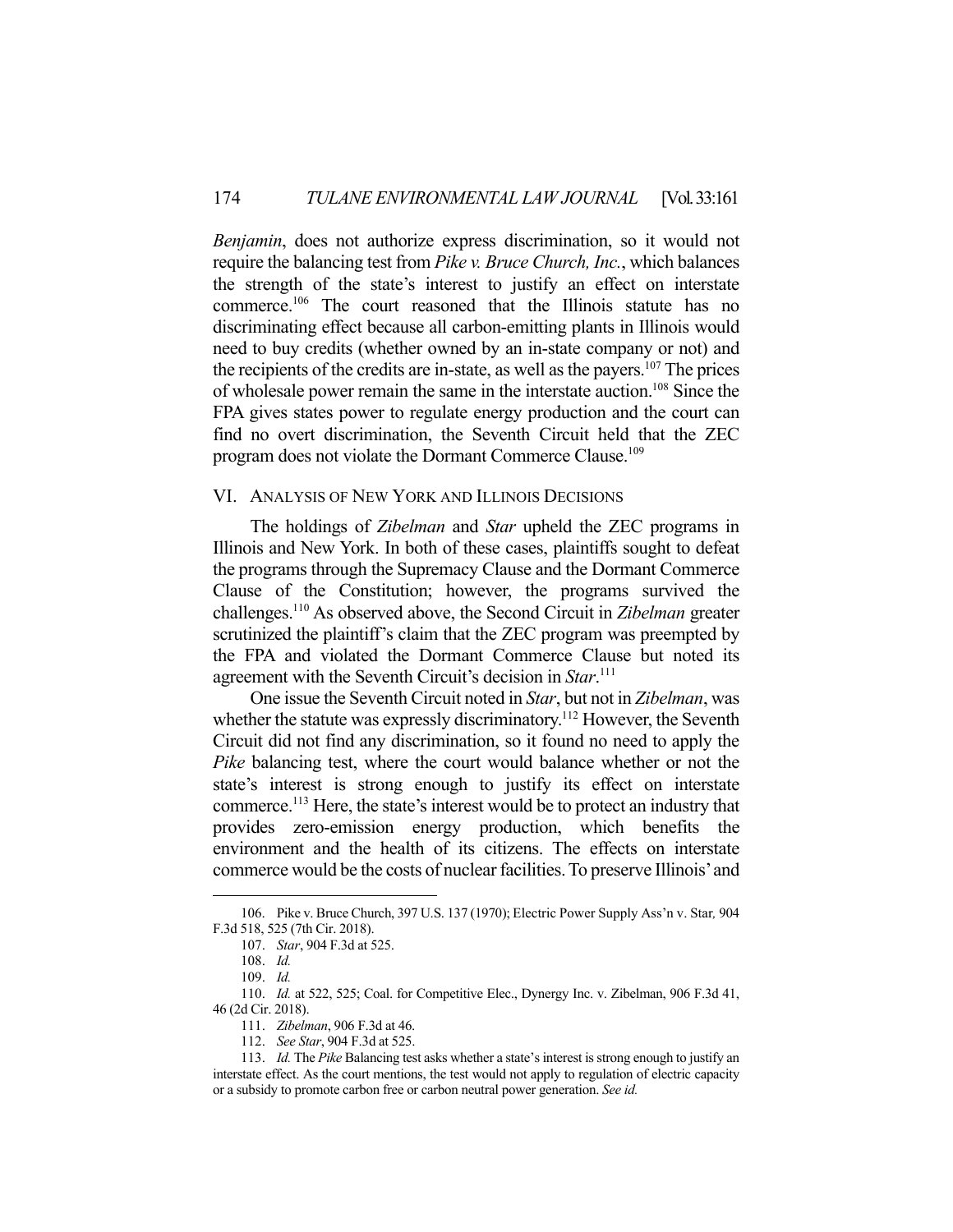*Benjamin*, does not authorize express discrimination, so it would not require the balancing test from *Pike v. Bruce Church, Inc.*, which balances the strength of the state's interest to justify an effect on interstate commerce.106 The court reasoned that the Illinois statute has no discriminating effect because all carbon-emitting plants in Illinois would need to buy credits (whether owned by an in-state company or not) and the recipients of the credits are in-state, as well as the payers.<sup>107</sup> The prices of wholesale power remain the same in the interstate auction.108 Since the FPA gives states power to regulate energy production and the court can find no overt discrimination, the Seventh Circuit held that the ZEC program does not violate the Dormant Commerce Clause.<sup>109</sup>

# VI. ANALYSIS OF NEW YORK AND ILLINOIS DECISIONS

 The holdings of *Zibelman* and *Star* upheld the ZEC programs in Illinois and New York. In both of these cases, plaintiffs sought to defeat the programs through the Supremacy Clause and the Dormant Commerce Clause of the Constitution; however, the programs survived the challenges.110 As observed above, the Second Circuit in *Zibelman* greater scrutinized the plaintiff's claim that the ZEC program was preempted by the FPA and violated the Dormant Commerce Clause but noted its agreement with the Seventh Circuit's decision in *Star*. 111

 One issue the Seventh Circuit noted in *Star*, but not in *Zibelman*, was whether the statute was expressly discriminatory.<sup>112</sup> However, the Seventh Circuit did not find any discrimination, so it found no need to apply the *Pike* balancing test, where the court would balance whether or not the state's interest is strong enough to justify its effect on interstate commerce.113 Here, the state's interest would be to protect an industry that provides zero-emission energy production, which benefits the environment and the health of its citizens. The effects on interstate commerce would be the costs of nuclear facilities. To preserve Illinois' and

 <sup>106.</sup> Pike v. Bruce Church, 397 U.S. 137 (1970); Electric Power Supply Ass'n v. Star*,* 904 F.3d 518, 525 (7th Cir. 2018).

 <sup>107.</sup> *Star*, 904 F.3d at 525.

 <sup>108.</sup> *Id.* 

 <sup>109.</sup> *Id.* 

 <sup>110.</sup> *Id.* at 522, 525; Coal. for Competitive Elec., Dynergy Inc. v. Zibelman, 906 F.3d 41, 46 (2d Cir. 2018).

 <sup>111.</sup> *Zibelman*, 906 F.3d at 46.

 <sup>112.</sup> *See Star*, 904 F.3d at 525.

 <sup>113.</sup> *Id.* The *Pike* Balancing test asks whether a state's interest is strong enough to justify an interstate effect. As the court mentions, the test would not apply to regulation of electric capacity or a subsidy to promote carbon free or carbon neutral power generation. *See id.*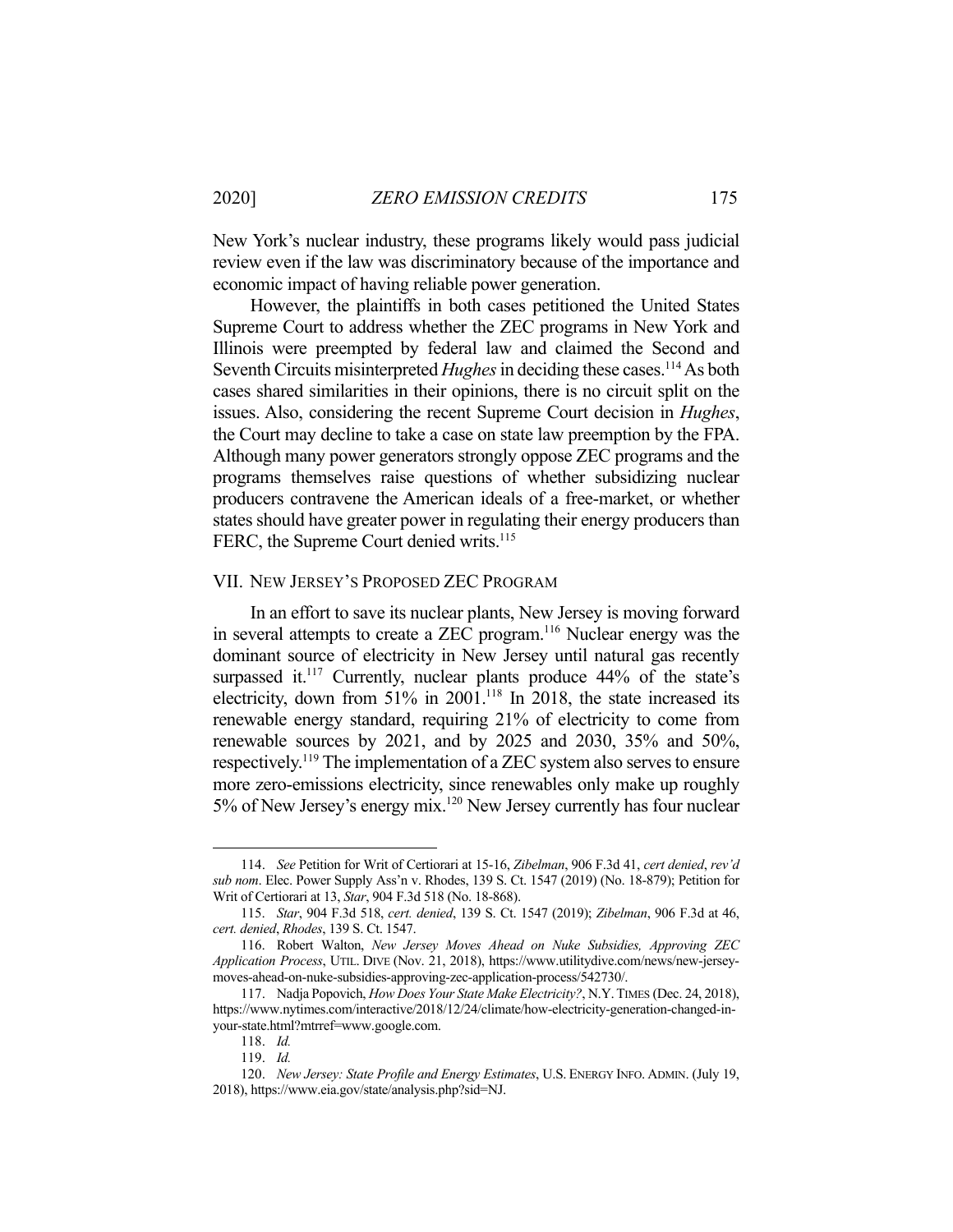New York's nuclear industry, these programs likely would pass judicial review even if the law was discriminatory because of the importance and economic impact of having reliable power generation.

 However, the plaintiffs in both cases petitioned the United States Supreme Court to address whether the ZEC programs in New York and Illinois were preempted by federal law and claimed the Second and Seventh Circuits misinterpreted *Hughes* in deciding these cases.<sup>114</sup> As both cases shared similarities in their opinions, there is no circuit split on the issues. Also, considering the recent Supreme Court decision in *Hughes*, the Court may decline to take a case on state law preemption by the FPA. Although many power generators strongly oppose ZEC programs and the programs themselves raise questions of whether subsidizing nuclear producers contravene the American ideals of a free-market, or whether states should have greater power in regulating their energy producers than FERC, the Supreme Court denied writs.<sup>115</sup>

# VII. NEW JERSEY'S PROPOSED ZEC PROGRAM

In an effort to save its nuclear plants, New Jersey is moving forward in several attempts to create a ZEC program.<sup>116</sup> Nuclear energy was the dominant source of electricity in New Jersey until natural gas recently surpassed it.<sup>117</sup> Currently, nuclear plants produce  $44\%$  of the state's electricity, down from 51% in 2001.<sup>118</sup> In 2018, the state increased its renewable energy standard, requiring 21% of electricity to come from renewable sources by 2021, and by 2025 and 2030, 35% and 50%, respectively.119 The implementation of a ZEC system also serves to ensure more zero-emissions electricity, since renewables only make up roughly 5% of New Jersey's energy mix.<sup>120</sup> New Jersey currently has four nuclear

 <sup>114.</sup> *See* Petition for Writ of Certiorari at 15-16, *Zibelman*, 906 F.3d 41, *cert denied*, *rev'd sub nom*. Elec. Power Supply Ass'n v. Rhodes, 139 S. Ct. 1547 (2019) (No. 18-879); Petition for Writ of Certiorari at 13, *Star*, 904 F.3d 518 (No. 18-868).

 <sup>115.</sup> *Star*, 904 F.3d 518, *cert. denied*, 139 S. Ct. 1547 (2019); *Zibelman*, 906 F.3d at 46, *cert. denied*, *Rhodes*, 139 S. Ct. 1547.

 <sup>116.</sup> Robert Walton, *New Jersey Moves Ahead on Nuke Subsidies, Approving ZEC Application Process*, UTIL. DIVE (Nov. 21, 2018), https://www.utilitydive.com/news/new-jerseymoves-ahead-on-nuke-subsidies-approving-zec-application-process/542730/.

 <sup>117.</sup> Nadja Popovich, *How Does Your State Make Electricity?*, N.Y.TIMES (Dec. 24, 2018), https://www.nytimes.com/interactive/2018/12/24/climate/how-electricity-generation-changed-inyour-state.html?mtrref=www.google.com.

 <sup>118.</sup> *Id.* 

 <sup>119.</sup> *Id.* 

 <sup>120.</sup> *New Jersey: State Profile and Energy Estimates*, U.S. ENERGY INFO. ADMIN. (July 19, 2018), https://www.eia.gov/state/analysis.php?sid=NJ.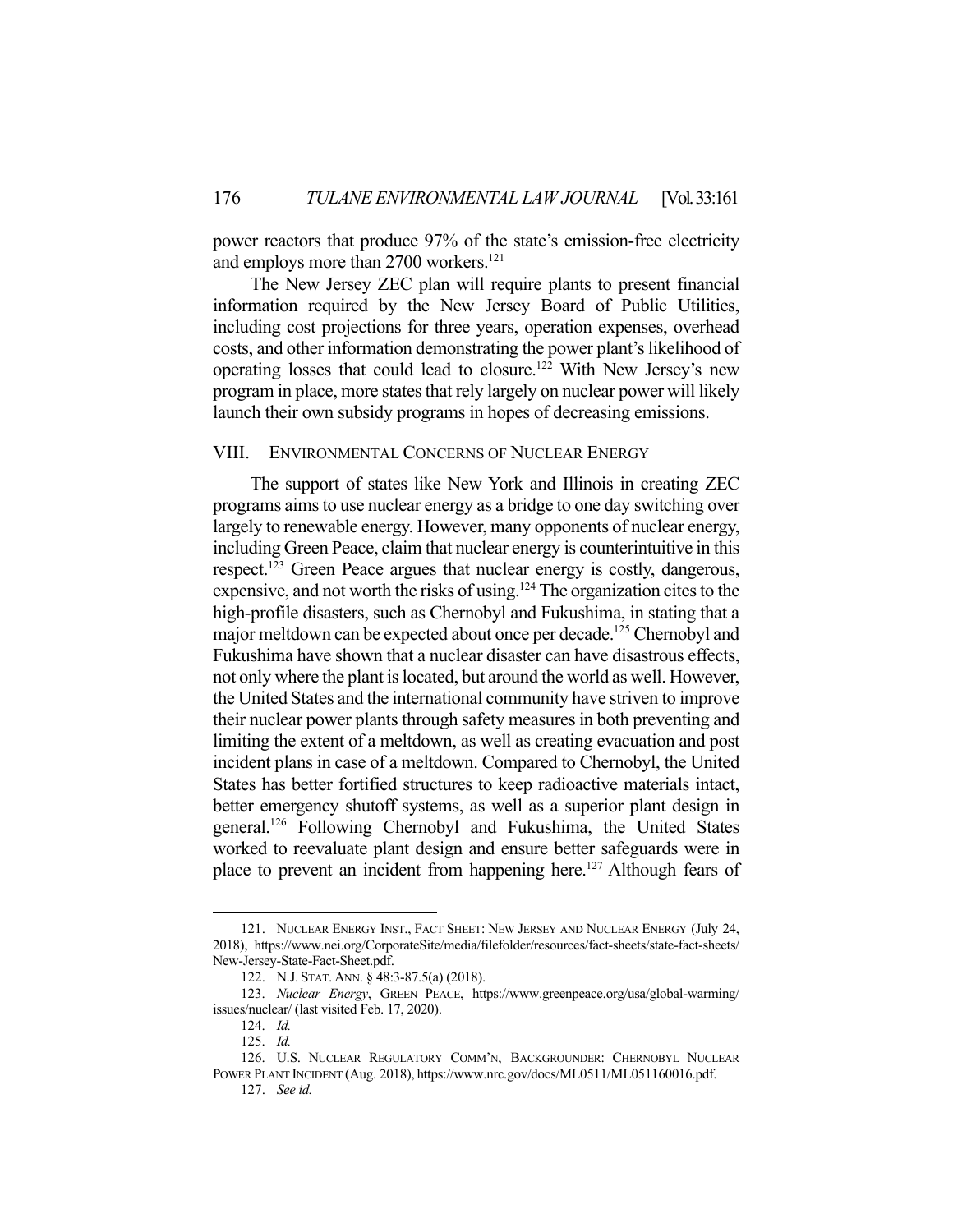power reactors that produce 97% of the state's emission-free electricity and employs more than 2700 workers.<sup>121</sup>

 The New Jersey ZEC plan will require plants to present financial information required by the New Jersey Board of Public Utilities, including cost projections for three years, operation expenses, overhead costs, and other information demonstrating the power plant's likelihood of operating losses that could lead to closure.122 With New Jersey's new program in place, more states that rely largely on nuclear power will likely launch their own subsidy programs in hopes of decreasing emissions.

# VIII. ENVIRONMENTAL CONCERNS OF NUCLEAR ENERGY

The support of states like New York and Illinois in creating ZEC programs aims to use nuclear energy as a bridge to one day switching over largely to renewable energy. However, many opponents of nuclear energy, including Green Peace, claim that nuclear energy is counterintuitive in this respect.<sup>123</sup> Green Peace argues that nuclear energy is costly, dangerous, expensive, and not worth the risks of using.124 The organization cites to the high-profile disasters, such as Chernobyl and Fukushima, in stating that a major meltdown can be expected about once per decade.125 Chernobyl and Fukushima have shown that a nuclear disaster can have disastrous effects, not only where the plant is located, but around the world as well. However, the United States and the international community have striven to improve their nuclear power plants through safety measures in both preventing and limiting the extent of a meltdown, as well as creating evacuation and post incident plans in case of a meltdown. Compared to Chernobyl, the United States has better fortified structures to keep radioactive materials intact, better emergency shutoff systems, as well as a superior plant design in general.126 Following Chernobyl and Fukushima, the United States worked to reevaluate plant design and ensure better safeguards were in place to prevent an incident from happening here.<sup>127</sup> Although fears of

 <sup>121.</sup> NUCLEAR ENERGY INST., FACT SHEET: NEW JERSEY AND NUCLEAR ENERGY (July 24, 2018), https://www.nei.org/CorporateSite/media/filefolder/resources/fact-sheets/state-fact-sheets/ New-Jersey-State-Fact-Sheet.pdf.

 <sup>122.</sup> N.J. STAT. ANN. § 48:3-87.5(a) (2018).

 <sup>123.</sup> *Nuclear Energy*, GREEN PEACE, https://www.greenpeace.org/usa/global-warming/ issues/nuclear/ (last visited Feb. 17, 2020).

 <sup>124.</sup> *Id.* 

 <sup>125.</sup> *Id.* 

 <sup>126.</sup> U.S. NUCLEAR REGULATORY COMM'N, BACKGROUNDER: CHERNOBYL NUCLEAR POWER PLANT INCIDENT (Aug. 2018), https://www.nrc.gov/docs/ML0511/ML051160016.pdf.

 <sup>127.</sup> *See id.*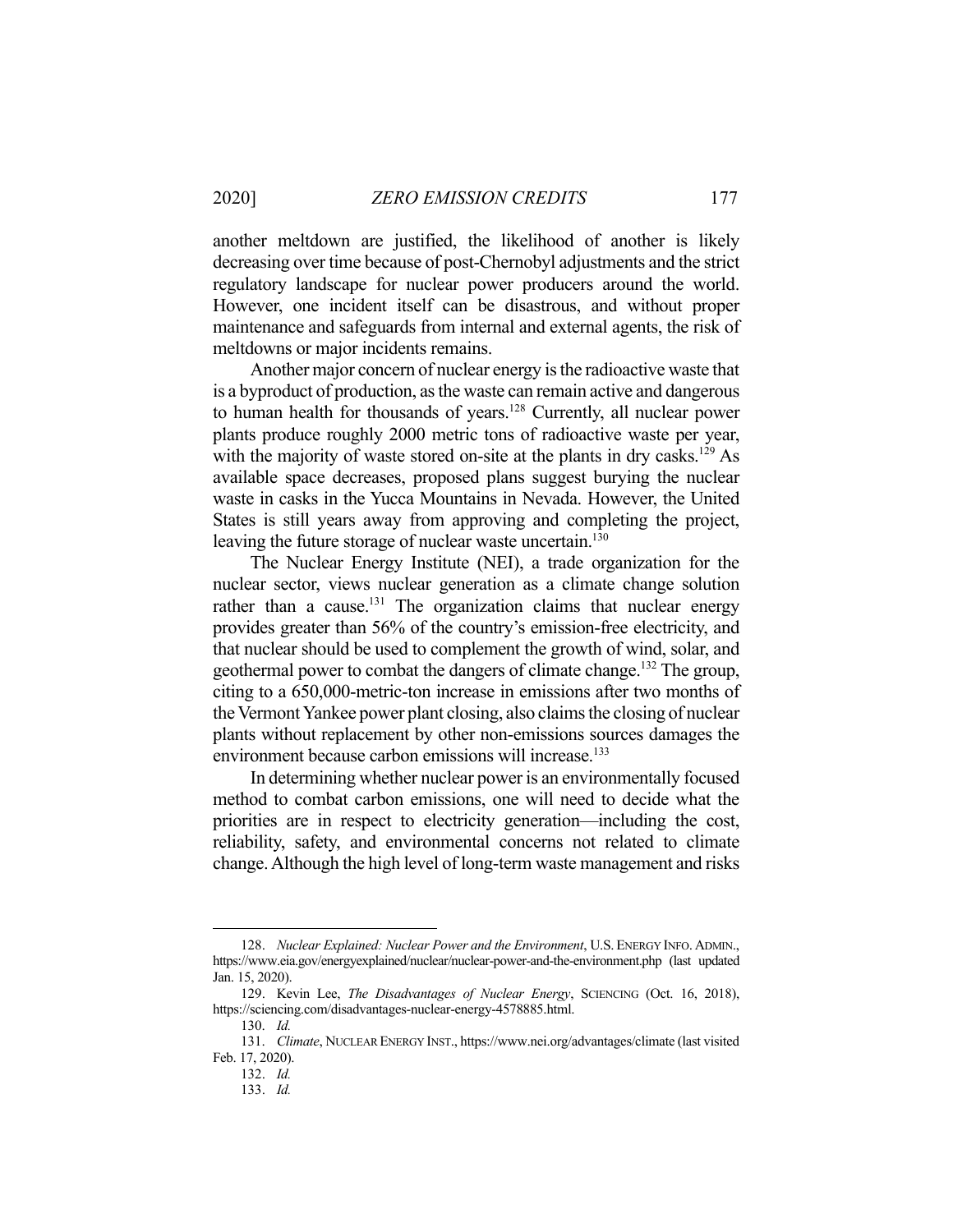another meltdown are justified, the likelihood of another is likely decreasing over time because of post-Chernobyl adjustments and the strict regulatory landscape for nuclear power producers around the world. However, one incident itself can be disastrous, and without proper maintenance and safeguards from internal and external agents, the risk of meltdowns or major incidents remains.

 Another major concern of nuclear energy is the radioactive waste that is a byproduct of production, as the waste can remain active and dangerous to human health for thousands of years.<sup>128</sup> Currently, all nuclear power plants produce roughly 2000 metric tons of radioactive waste per year, with the majority of waste stored on-site at the plants in dry casks.<sup>129</sup> As available space decreases, proposed plans suggest burying the nuclear waste in casks in the Yucca Mountains in Nevada. However, the United States is still years away from approving and completing the project, leaving the future storage of nuclear waste uncertain.<sup>130</sup>

 The Nuclear Energy Institute (NEI), a trade organization for the nuclear sector, views nuclear generation as a climate change solution rather than a cause.<sup>131</sup> The organization claims that nuclear energy provides greater than 56% of the country's emission-free electricity, and that nuclear should be used to complement the growth of wind, solar, and geothermal power to combat the dangers of climate change.132 The group, citing to a 650,000-metric-ton increase in emissions after two months of the Vermont Yankee power plant closing, also claims the closing of nuclear plants without replacement by other non-emissions sources damages the environment because carbon emissions will increase.<sup>133</sup>

 In determining whether nuclear power is an environmentally focused method to combat carbon emissions, one will need to decide what the priorities are in respect to electricity generation—including the cost, reliability, safety, and environmental concerns not related to climate change. Although the high level of long-term waste management and risks

 <sup>128.</sup> *Nuclear Explained: Nuclear Power and the Environment*, U.S. ENERGY INFO. ADMIN., https://www.eia.gov/energyexplained/nuclear/nuclear-power-and-the-environment.php (last updated Jan. 15, 2020).

 <sup>129.</sup> Kevin Lee, *The Disadvantages of Nuclear Energy*, SCIENCING (Oct. 16, 2018), https://sciencing.com/disadvantages-nuclear-energy-4578885.html.

 <sup>130.</sup> *Id.* 

 <sup>131.</sup> *Climate*, NUCLEAR ENERGY INST., https://www.nei.org/advantages/climate (last visited Feb. 17, 2020).

 <sup>132.</sup> *Id.* 

 <sup>133.</sup> *Id.*